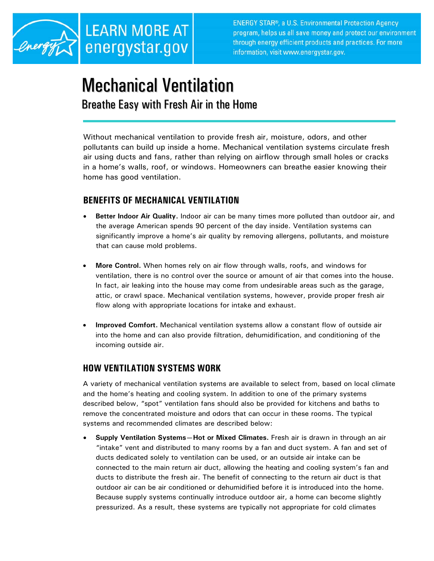

**ENERGY STAR®, a U.S. Environmental Protection Agency** program, helps us all save money and protect our environment through energy efficient products and practices. For more information, visit www.energystar.gov.

# Mechanical Ventilation

## Breathe Easy with Fresh Air in the Home

Without mechanical ventilation to provide fresh air, moisture, odors, and other pollutants can build up inside a home. Mechanical ventilation systems circulate fresh air using ducts and fans, rather than relying on airflow through small holes or cracks in a home's walls, roof, or windows. Homeowners can breathe easier knowing their home has good ventilation.

### **BENEFITS OF MECHANICAL VENTILATION**

- **Better Indoor Air Quality.** Indoor air can be many times more polluted than outdoor air, and the average American spends 90 percent of the day inside. Ventilation systems can significantly improve a home's air quality by removing allergens, pollutants, and moisture that can cause mold problems.
- **More Control.** When homes rely on air flow through walls, roofs, and windows for ventilation, there is no control over the source or amount of air that comes into the house. In fact, air leaking into the house may come from undesirable areas such as the garage, attic, or crawl space. Mechanical ventilation systems, however, provide proper fresh air flow along with appropriate locations for intake and exhaust.
- **Improved Comfort.** Mechanical ventilation systems allow a constant flow of outside air into the home and can also provide filtration, dehumidification, and conditioning of the incoming outside air.

#### **HOW VENTILATION SYSTEMS WORK**

A variety of mechanical ventilation systems are available to select from, based on local climate and the home's heating and cooling system. In addition to one of the primary systems described below, "spot" ventilation fans should also be provided for kitchens and baths to remove the concentrated moisture and odors that can occur in these rooms. The typical systems and recommended climates are described below:

• **Supply Ventilation Systems—Hot or Mixed Climates.** Fresh air is drawn in through an air "intake" vent and distributed to many rooms by a fan and duct system. A fan and set of ducts dedicated solely to ventilation can be used, or an outside air intake can be connected to the main return air duct, allowing the heating and cooling system's fan and ducts to distribute the fresh air. The benefit of connecting to the return air duct is that outdoor air can be air conditioned or dehumidified before it is introduced into the home. Because supply systems continually introduce outdoor air, a home can become slightly pressurized. As a result, these systems are typically not appropriate for cold climates